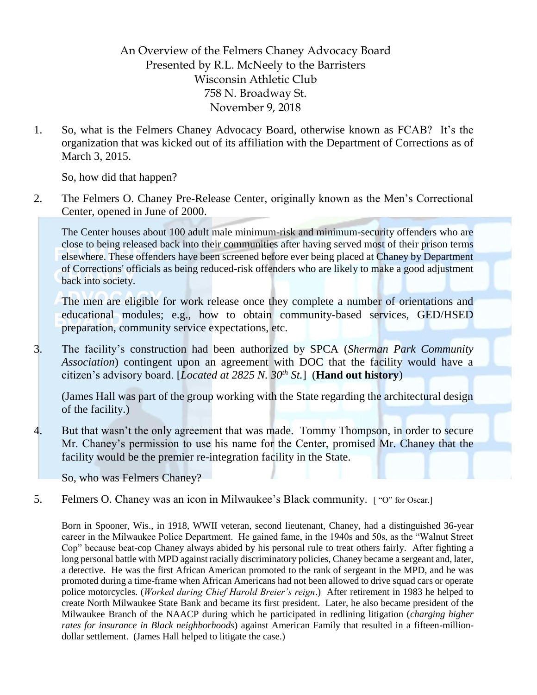An Overview of the Felmers Chaney Advocacy Board Presented by R.L. McNeely to the Barristers Wisconsin Athletic Club 758 N. Broadway St. November 9, 2018

1. So, what is the Felmers Chaney Advocacy Board, otherwise known as FCAB? It's the organization that was kicked out of its affiliation with the Department of Corrections as of March 3, 2015.

So, how did that happen?

2. The Felmers O. Chaney Pre-Release Center, originally known as the Men's Correctional Center, opened in June of 2000.

The Center houses about 100 adult male minimum-risk and minimum-security offenders who are close to being released back into their communities after having served most of their prison terms elsewhere. These offenders have been screened before ever being placed at Chaney by Department of Corrections' officials as being reduced-risk offenders who are likely to make a good adjustment back into society.

The men are eligible for work release once they complete a number of orientations and educational modules; e.g., how to obtain community-based services, GED/HSED preparation, community service expectations, etc.

3. The facility's construction had been authorized by SPCA (*Sherman Park Community Association*) contingent upon an agreement with DOC that the facility would have a citizen's advisory board. [*Located at 2825 N. 30th St.*] (**Hand out history**)

(James Hall was part of the group working with the State regarding the architectural design of the facility.)

4. But that wasn't the only agreement that was made. Tommy Thompson, in order to secure Mr. Chaney's permission to use his name for the Center, promised Mr. Chaney that the facility would be the premier re-integration facility in the State.

So, who was Felmers Chaney?

5. Felmers O. Chaney was an icon in Milwaukee's Black community. [ "O" for Oscar.]

Born in Spooner, Wis., in 1918, WWII veteran, second lieutenant, Chaney, had a distinguished 36-year career in the Milwaukee Police Department. He gained fame, in the 1940s and 50s, as the "Walnut Street Cop" because beat-cop Chaney always abided by his personal rule to treat others fairly. After fighting a long personal battle with MPD against racially discriminatory policies, Chaney became a sergeant and, later, a detective. He was the first African American promoted to the rank of sergeant in the MPD, and he was promoted during a time-frame when African Americans had not been allowed to drive squad cars or operate police motorcycles. (*Worked during Chief Harold Breier's reign*.) After retirement in 1983 he helped to create North Milwaukee State Bank and became its first president. Later, he also became president of the Milwaukee Branch of the NAACP during which he participated in redlining litigation (*charging higher rates for insurance in Black neighborhoods*) against American Family that resulted in a fifteen-milliondollar settlement. (James Hall helped to litigate the case.)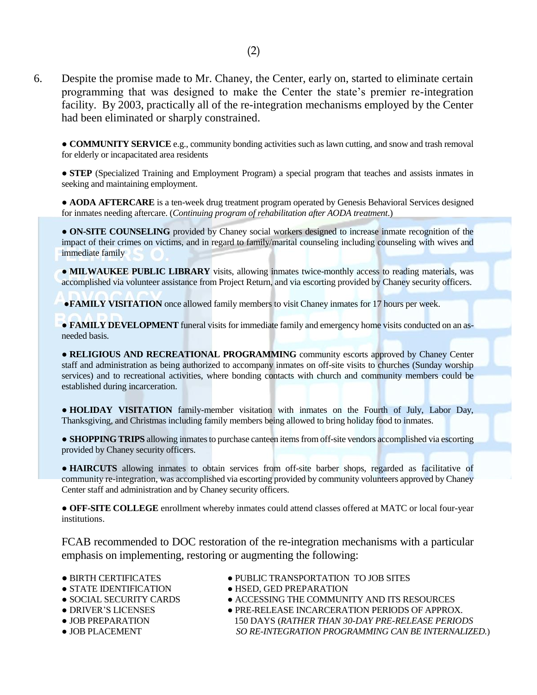6. Despite the promise made to Mr. Chaney, the Center, early on, started to eliminate certain programming that was designed to make the Center the state's premier re-integration facility. By 2003, practically all of the re-integration mechanisms employed by the Center had been eliminated or sharply constrained.

● **COMMUNITY SERVICE** e.g., community bonding activities such as lawn cutting, and snow and trash removal for elderly or incapacitated area residents

● **STEP** (Specialized Training and Employment Program) a special program that teaches and assists inmates in seeking and maintaining employment.

● **AODA AFTERCARE** is a ten-week drug treatment program operated by Genesis Behavioral Services designed for inmates needing aftercare. (*Continuing program of rehabilitation after AODA treatment*.)

● **ON-SITE COUNSELING** provided by Chaney social workers designed to increase inmate recognition of the impact of their crimes on victims, and in regard to family/marital counseling including counseling with wives and immediate family

● **MILWAUKEE PUBLIC LIBRARY** visits, allowing inmates twice-monthly access to reading materials, was accomplished via volunteer assistance from Project Return, and via escorting provided by Chaney security officers.

**• FAMILY VISITATION** once allowed family members to visit Chaney inmates for 17 hours per week.

● **FAMILY DEVELOPMENT** funeral visits for immediate family and emergency home visits conducted on an asneeded basis.

**• RELIGIOUS AND RECREATIONAL PROGRAMMING** community escorts approved by Chaney Center staff and administration as being authorized to accompany inmates on off-site visits to churches (Sunday worship services) and to recreational activities, where bonding contacts with church and community members could be established during incarceration.

● **HOLIDAY VISITATION** family-member visitation with inmates on the Fourth of July, Labor Day, Thanksgiving, and Christmas including family members being allowed to bring holiday food to inmates.

● **SHOPPING TRIPS** allowing inmates to purchase canteen items from off-site vendors accomplished via escorting provided by Chaney security officers.

● **HAIRCUTS** allowing inmates to obtain services from off-site barber shops, regarded as facilitative of community re-integration, was accomplished via escorting provided by community volunteers approved by Chaney Center staff and administration and by Chaney security officers.

● **OFF-SITE COLLEGE** enrollment whereby inmates could attend classes offered at MATC or local four-year institutions.

FCAB recommended to DOC restoration of the re-integration mechanisms with a particular emphasis on implementing, restoring or augmenting the following:

- 
- 
- 
- 
- 
- 
- BIRTH CERTIFICATES PUBLIC TRANSPORTATION TO JOB SITES
- STATE IDENTIFICATION HSED, GED PREPARATION
- SOCIAL SECURITY CARDS ACCESSING THE COMMUNITY AND ITS RESOURCES
- DRIVER'S LICENSES PRE-RELEASE INCARCERATION PERIODS OF APPROX. ● JOB PREPARATION 150 DAYS (*RATHER THAN 30-DAY PRE-RELEASE PERIODS* ● JOB PLACEMENT *SO RE-INTEGRATION PROGRAMMING CAN BE INTERNALIZED.*)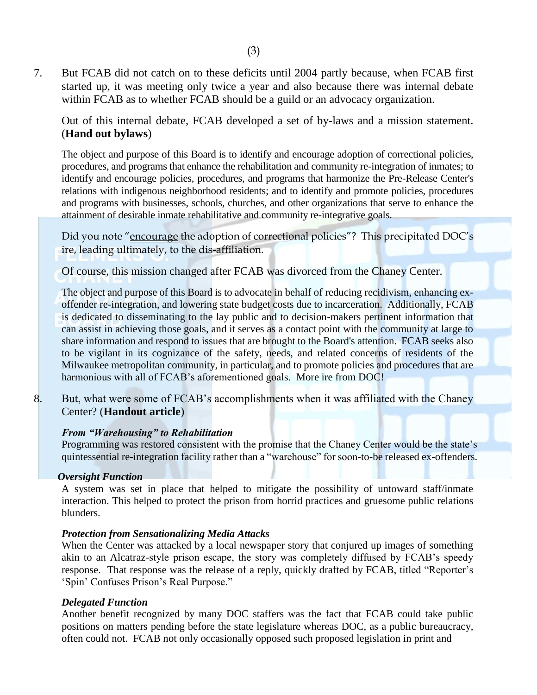7. But FCAB did not catch on to these deficits until 2004 partly because, when FCAB first started up, it was meeting only twice a year and also because there was internal debate within FCAB as to whether FCAB should be a guild or an advocacy organization.

Out of this internal debate, FCAB developed a set of by-laws and a mission statement. (**Hand out bylaws**)

The object and purpose of this Board is to identify and encourage adoption of correctional policies, procedures, and programs that enhance the rehabilitation and community re-integration of inmates; to identify and encourage policies, procedures, and programs that harmonize the Pre-Release Center's relations with indigenous neighborhood residents; and to identify and promote policies, procedures and programs with businesses, schools, churches, and other organizations that serve to enhance the attainment of desirable inmate rehabilitative and community re-integrative goals.

Did you note "encourage the adoption of correctional policies"? This precipitated DOC's ire, leading ultimately, to the dis-affiliation.

Of course, this mission changed after FCAB was divorced from the Chaney Center.

The object and purpose of this Board is to advocate in behalf of reducing recidivism, enhancing exoffender re-integration, and lowering state budget costs due to incarceration. Additionally, FCAB is dedicated to disseminating to the lay public and to decision-makers pertinent information that can assist in achieving those goals, and it serves as a contact point with the community at large to share information and respond to issues that are brought to the Board's attention. FCAB seeks also to be vigilant in its cognizance of the safety, needs, and related concerns of residents of the Milwaukee metropolitan community, in particular, and to promote policies and procedures that are harmonious with all of FCAB's aforementioned goals. More ire from DOC!

8. But, what were some of FCAB's accomplishments when it was affiliated with the Chaney Center? (**Handout article**)

### *From "Warehousing" to Rehabilitation*

Programming was restored consistent with the promise that the Chaney Center would be the state's quintessential re-integration facility rather than a "warehouse" for soon-to-be released ex-offenders.

### *Oversight Function*

A system was set in place that helped to mitigate the possibility of untoward staff/inmate interaction. This helped to protect the prison from horrid practices and gruesome public relations blunders.

### *Protection from Sensationalizing Media Attacks*

When the Center was attacked by a local newspaper story that conjured up images of something akin to an Alcatraz-style prison escape, the story was completely diffused by FCAB's speedy response. That response was the release of a reply, quickly drafted by FCAB, titled "Reporter's 'Spin' Confuses Prison's Real Purpose."

# *Delegated Function*

Another benefit recognized by many DOC staffers was the fact that FCAB could take public positions on matters pending before the state legislature whereas DOC, as a public bureaucracy, often could not. FCAB not only occasionally opposed such proposed legislation in print and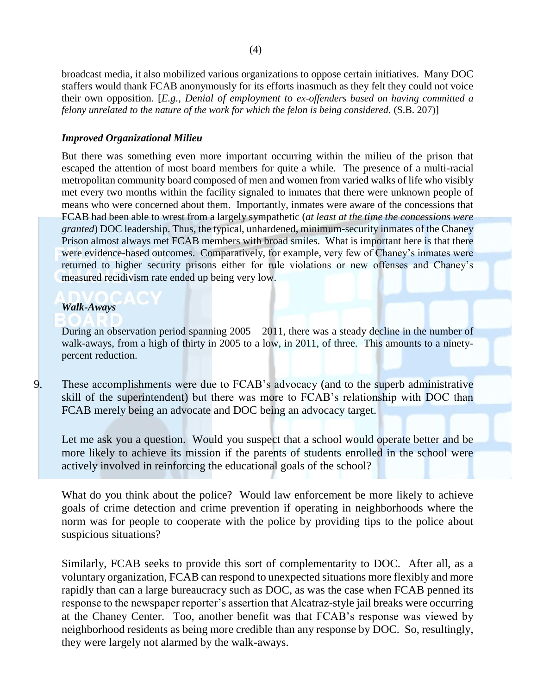broadcast media, it also mobilized various organizations to oppose certain initiatives. Many DOC staffers would thank FCAB anonymously for its efforts inasmuch as they felt they could not voice their own opposition. [*E.g., Denial of employment to ex-offenders based on having committed a felony unrelated to the nature of the work for which the felon is being considered.* (S.B. 207)]

# *Improved Organizational Milieu*

But there was something even more important occurring within the milieu of the prison that escaped the attention of most board members for quite a while. The presence of a multi-racial metropolitan community board composed of men and women from varied walks of life who visibly met every two months within the facility signaled to inmates that there were unknown people of means who were concerned about them. Importantly, inmates were aware of the concessions that FCAB had been able to wrest from a largely sympathetic (*at least at the time the concessions were granted*) DOC leadership. Thus, the typical, unhardened, minimum-security inmates of the Chaney Prison almost always met FCAB members with broad smiles. What is important here is that there were evidence-based outcomes. Comparatively, for example, very few of Chaney's inmates were returned to higher security prisons either for rule violations or new offenses and Chaney's measured recidivism rate ended up being very low.

### *Walk-Aways*

During an observation period spanning 2005 – 2011, there was a steady decline in the number of walk-aways, from a high of thirty in 2005 to a low, in 2011, of three. This amounts to a ninetypercent reduction.

9. These accomplishments were due to FCAB's advocacy (and to the superb administrative skill of the superintendent) but there was more to FCAB's relationship with DOC than FCAB merely being an advocate and DOC being an advocacy target.

Let me ask you a question. Would you suspect that a school would operate better and be more likely to achieve its mission if the parents of students enrolled in the school were actively involved in reinforcing the educational goals of the school?

What do you think about the police? Would law enforcement be more likely to achieve goals of crime detection and crime prevention if operating in neighborhoods where the norm was for people to cooperate with the police by providing tips to the police about suspicious situations?

Similarly, FCAB seeks to provide this sort of complementarity to DOC. After all, as a voluntary organization, FCAB can respond to unexpected situations more flexibly and more rapidly than can a large bureaucracy such as DOC, as was the case when FCAB penned its response to the newspaper reporter's assertion that Alcatraz-style jail breaks were occurring at the Chaney Center. Too, another benefit was that FCAB's response was viewed by neighborhood residents as being more credible than any response by DOC. So, resultingly, they were largely not alarmed by the walk-aways.